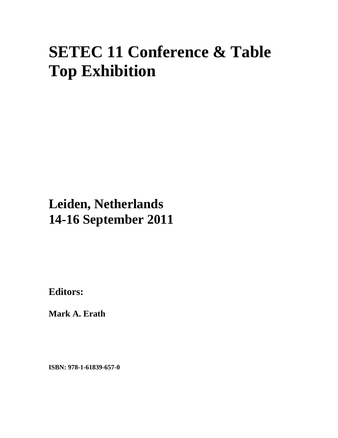# **SETEC 11 Conference & Table Top Exhibition**

## **Leiden, Netherlands 14-16 September 2011**

**Editors:** 

**Mark A. Erath** 

**ISBN: 978-1-61839-657-0**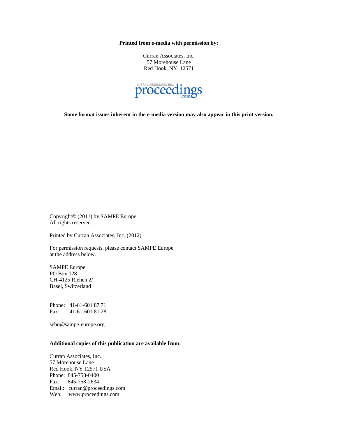**Printed from e-media with permission by:** 

Curran Associates, Inc. 57 Morehouse Lane Red Hook, NY 12571



**Some format issues inherent in the e-media version may also appear in this print version.** 

Copyright© (2011) by SAMPE Europe All rights reserved.

Printed by Curran Associates, Inc. (2012)

For permission requests, please contact SAMPE Europe at the address below.

SAMPE Europe PO Box 128 CH-4125 Riehen 2/ Basel, Switzerland

Phone: 41-61-601 87 71 Fax: 41-61-601 81 28

sebo@sampe-europe.org

### **Additional copies of this publication are available from:**

Curran Associates, Inc. 57 Morehouse Lane Red Hook, NY 12571 USA Phone: 845-758-0400 Fax: 845-758-2634 Email: curran@proceedings.com Web: www.proceedings.com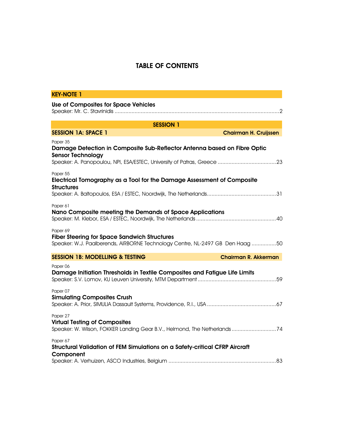## TABLE OF CONTENTS

| <b>KEY-NOTE 1</b>                                                                                                                                   |
|-----------------------------------------------------------------------------------------------------------------------------------------------------|
| <b>Use of Composites for Space Vehicles</b>                                                                                                         |
| <b>SESSION 1</b>                                                                                                                                    |
| <b>SESSION 1A: SPACE 1</b><br><b>Chairman H. Cruijssen</b>                                                                                          |
| Paper 35<br>Damage Detection in Composite Sub-Reflector Antenna based on Fibre Optic<br><b>Sensor Technology</b>                                    |
| Paper 55<br>Electrical Tomography as a Tool for the Damage Assessment of Composite<br><b>Structures</b>                                             |
| Paper 61<br>Nano Composite meeting the Demands of Space Applications                                                                                |
| Paper 69<br><b>Fiber Steering for Space Sandwich Structures</b><br>Speaker: W.J. Paalberends, AIRBORNE Technology Centre, NL-2497 GB Den Haag 50    |
| <b>SESSION 1B: MODELLING &amp; TESTING</b><br><b>Chairman R. Akkerman</b>                                                                           |
| Paper <sub>06</sub><br>Damage Initiation Thresholds in Textile Composites and Fatigue Life Limits<br>Paper 07<br><b>Simulating Composites Crush</b> |
|                                                                                                                                                     |
| Paper 27<br><b>Virtual Testing of Composites</b><br>Speaker: W. Wilson, FOKKER Landing Gear B.V., Helmond, The Netherlands 74                       |
| Paper 67<br>Structural Validation of FEM Simulations on a Safety-critical CFRP Aircraft<br>Component                                                |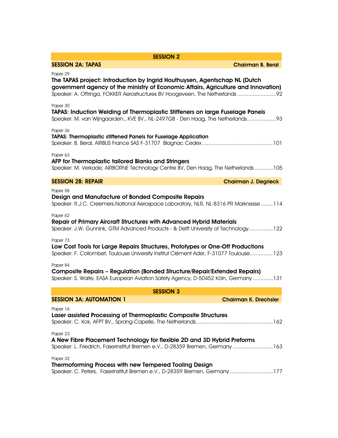| <b>SESSION 2</b>                                                                                                                                                                                                                                              |
|---------------------------------------------------------------------------------------------------------------------------------------------------------------------------------------------------------------------------------------------------------------|
| <b>SESSION 2A: TAPAS</b><br><b>Chairman B. Beral</b>                                                                                                                                                                                                          |
| Paper 29<br>The TAPAS project: Introduction by Ingrid Houthuysen, Agentschap NL (Dutch<br>government agency of the ministry of Economic Affairs, Agriculture and Innovation)<br>Speaker: A. Offringa, FOKKER Aerostructures BV Hoogeveen, The Netherlands  92 |
| Paper 30<br>TAPAS: Induction Welding of Thermoplastic Stiffeners on large Fuselage Panels<br>Speaker: M. van Wijngaarden., KVE BV., NL-2497GB - Den Haag, The Netherlands93                                                                                   |
| Paper 36<br>TAPAS: Thermoplastic stiffened Panels for Fuselage Application                                                                                                                                                                                    |
| Paper 63<br>AFP for Thermoplastic tailored Blanks and Stringers<br>Speaker: M. Verkade, AIRBORNE Technology Centre BV, Den Haag, The Netherlands105                                                                                                           |
| <b>SESSION 2B: REPAIR</b><br><b>Chairman J. Degrieck</b>                                                                                                                                                                                                      |
| Paper 58<br>Design and Manufacture of Bonded Composite Repairs<br>Speaker: R.J.C. Creemers, National Aerospace Laboratory, NLR, NL-8316 PR Marknesse114                                                                                                       |
| Paper 62<br>Repair of Primary Aircraft Structures with Advanced Hybrid Materials<br>Speaker: J.W. Gunnink, GTM Advanced Products - & Delft University of Technology122                                                                                        |
| Paper 73<br>Low Cost Tools for Large Repairs Structures, Prototypes or One-Off Productions<br>Speaker: F. Collombet, Toulouse University Institut Clément Ader, F-31077 Toulouse123                                                                           |
| Paper 84<br><b>Composite Repairs - Regulation (Bonded Structure/Repair/Extended Repairs)</b><br>Speaker: S. Waite, EASA European Aviation Safety Agency, D-50452 Köln, Germany 131                                                                            |
| <b>SESSION 3</b>                                                                                                                                                                                                                                              |
| <b>SESSION 3A: AUTOMATION 1</b><br><b>Chairman K. Drechsler</b>                                                                                                                                                                                               |
| Paper 16<br>Laser assisted Processing of Thermoplastic Composite Structures                                                                                                                                                                                   |
| Paper 23<br>A New Fibre Placement Technology for flexible 2D and 3D Hybrid Preforms<br>Speaker: L. Friedrich, Faserinstitut Bremen e.V., D-28359 Bremen, Germany 163                                                                                          |
| Paper 32<br><b>Thermoforming Process with new Tempered Tooling Design</b><br>Speaker: C. Peters, Faserinstitut Bremen e.V., D-28359 Bremen, Germany177                                                                                                        |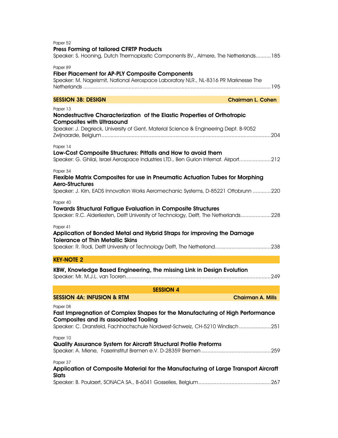| Paper 52<br><b>Press Forming of tailored CFRTP Products</b><br>Speaker: S. Hooning, Dutch Thermoplastic Components BV., Almere, The Netherlands185                                                                       |
|--------------------------------------------------------------------------------------------------------------------------------------------------------------------------------------------------------------------------|
| Paper 89<br><b>Fiber Placement for AP-PLY Composite Components</b><br>Speaker: M. Nagelsmit, National Aerospace Laboratory NLR., NL-8316 PR Marknesse The                                                                |
| <b>SESSION 3B: DESIGN</b><br><b>Chairman L. Cohen</b>                                                                                                                                                                    |
| Paper 13<br>Nondestructive Characterization of the Elastic Properties of Orthotropic<br><b>Composites with Ultrasound</b><br>Speaker: J. Degrieck, University of Gent, Material Science & Engineering Dept. B-9052       |
| Paper 14<br>Low-Cost Composite Structures: Pitfalls and How to avoid them<br>Speaker: G. Ghilai, Israel Aerospace Industries LTD., Ben Gurion Internat. Airport212                                                       |
| Paper 34<br>Flexible Matrix Composites for use in Pneumatic Actuation Tubes for Morphing<br><b>Aero-Structures</b><br>Speaker: J. Kirn, EADS Innovation Works Aeromechanic Systems, D-85221 Ottobrunn 220                |
| Paper 40<br><b>Towards Structural Fatigue Evaluation in Composite Structures</b><br>Speaker: R.C. Alderliesten, Delft University of Technology, Delft, The Netherlands228                                                |
| Paper 41<br>Application of Bonded Metal and Hybrid Straps for improving the Damage<br><b>Tolerance of Thin Metallic Skins</b>                                                                                            |
| <b>KEY-NOTE 2</b>                                                                                                                                                                                                        |
| KBW, Knowledge Based Engineering, the missing Link in Design Evolution                                                                                                                                                   |
| <b>SESSION 4</b>                                                                                                                                                                                                         |
| <b>SESSION 4A: INFUSION &amp; RTM</b><br><b>Chairman A. Mills</b>                                                                                                                                                        |
| Paper 08<br>Fast Impregnation of Complex Shapes for the Manufacturing of High Performance<br><b>Composites and its associated Tooling</b><br>Speaker: C. Dransfeld, Fachhochschule Nordwest-Schweiz, CH-5210 Windisch251 |
| Paper 10<br>Quality Assurance System for Aircraft Structural Profile Preforms                                                                                                                                            |
| Paper 37<br>Application of Composite Material for the Manufacturing of Large Transport Aircraft<br><b>Slats</b>                                                                                                          |
|                                                                                                                                                                                                                          |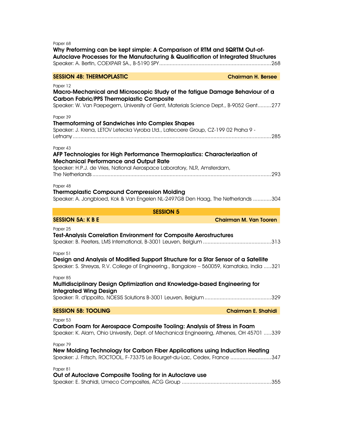Paper 68

Why Preforming can be kept simple: A Comparison of RTM and SQRTM Out-of-Autoclave Processes for the Manufacturing & Qualification of Integrated Structures Speaker: A. Bertin, COEXPAIR SA., B-5190 SPY .......................................................................... 268

## SESSION 4B: THERMOPLASTIC Chairman H. Bersee

Paper 12

#### Macro-Mechanical and Microscopic Study of the fatigue Damage Behaviour of a Carbon Fabric/PPS Thermoplastic Composite Speaker: W. Van Paepegem, University of Gent, Materials Science Dept., B-9052 Gent.........277

| Paper 39                                                                                                                                     |
|----------------------------------------------------------------------------------------------------------------------------------------------|
| <b>Thermoforming of Sandwiches into Complex Shapes</b><br>Speaker: J. Krena, LETOV Letecka Vyroba Ltd., Latecoere Group, CZ-199 02 Praha 9 - |
|                                                                                                                                              |
|                                                                                                                                              |
| Paper 43<br>AFP Technologies for High Performance Thermoplastics: Characterization of                                                        |
| <b>Mechanical Performance and Output Rate</b>                                                                                                |
| Speaker: H.P.J. de Vries, National Aerospace Laboratory, NLR, Amsterdam,                                                                     |
|                                                                                                                                              |
| Paper 48                                                                                                                                     |
| <b>Thermoplastic Compound Compression Molding</b>                                                                                            |
| Speaker: A. Jongbloed, Kok & Van Engelen NL-2497GB Den Haag, The Netherlands 304                                                             |
|                                                                                                                                              |
| <b>SESSION 5</b>                                                                                                                             |
| <b>SESSION 5A: K B E</b><br><b>Chairman M. Van Tooren</b>                                                                                    |
| Paper 25                                                                                                                                     |
| <b>Test-Analysis Correlation Environment for Composite Aerostructures</b>                                                                    |
|                                                                                                                                              |
| Paper 51                                                                                                                                     |
| Design and Analysis of Modified Support Structure for a Star Sensor of a Satellite                                                           |
| Speaker: S. Shreyas, R.V. College of Engineering., Bangalore - 560059, Karnataka, India 321                                                  |
| Paper 85                                                                                                                                     |
| Multidisciplinary Design Optimization and Knowledge-based Engineering for                                                                    |
| <b>Integrated Wing Design</b>                                                                                                                |
|                                                                                                                                              |
| <b>SESSION 5B: TOOLING</b><br><b>Chairman E. Shahidi</b>                                                                                     |
| Paper 53                                                                                                                                     |
| Carbon Foam for Aerospace Composite Tooling: Analysis of Stress in Foam                                                                      |
| Speaker: K. Alam, Ohio University, Dept. of Mechanical Engineering, Athenes, OH 45701 339                                                    |
| Paper 79                                                                                                                                     |
| New Molding Technology for Carbon Fiber Applications using Induction Heating                                                                 |
| Speaker: J. Fritsch, ROCTOOL, F-73375 Le Bourget-du-Lac, Cedex, France 347                                                                   |
| Paper 81                                                                                                                                     |
| Out of Autoclave Composite Tooling for in Autoclave use                                                                                      |
|                                                                                                                                              |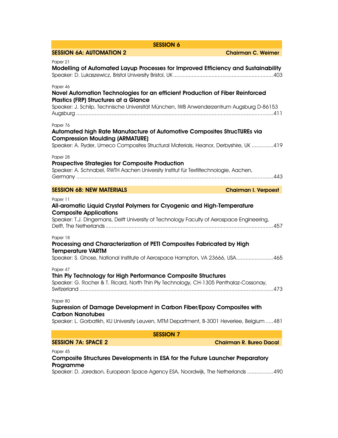| <b>SESSION 6</b>                                                                                                                                                                                                               |                                |
|--------------------------------------------------------------------------------------------------------------------------------------------------------------------------------------------------------------------------------|--------------------------------|
| <b>SESSION 6A: AUTOMATION 2</b>                                                                                                                                                                                                | <b>Chairman C. Weimer</b>      |
| Paper 21<br>Modelling of Automated Layup Processes for Improved Efficiency and Sustainability                                                                                                                                  |                                |
| Paper 46<br>Novel Automation Technologies for an efficient Production of Fiber Reinforced<br>Plastics (FRP) Structures at a Glance<br>Speaker: J. Schilp, Technische Universität München, IWB Anwenderzentrum Augsburg D-86153 |                                |
| Paper 76<br>Automated high Rate Manufacture of Automotive Composites StrucTUREs via<br><b>Compression Moulding (ARMATURE)</b><br>Speaker: A. Ryder, Umeco Composites Structural Materials, Heanor, Derbyshire, UK 419          |                                |
| Paper 28<br><b>Prospective Strategies for Composite Production</b><br>Speaker: A. Schnabel, RWTH Aachen University Institut für Textiltechnologie, Aachen,                                                                     |                                |
| <b>SESSION 6B: NEW MATERIALS</b>                                                                                                                                                                                               | <b>Chairman I. Verpoest</b>    |
| Paper 11<br>All-aromatic Liquid Crystal Polymers for Cryogenic and High-Temperature<br><b>Composite Applications</b><br>Speaker: T.J. Dingemans, Delft University of Technology Faculty of Aerospace Engineering,              |                                |
| Paper 18<br>Processing and Characterization of PETI Composites Fabricated by High<br><b>Temperature VARTM</b><br>Speaker: S. Ghose, National Institute of Aerospace Hampton, VA 23666, USA465                                  |                                |
| Paper 47<br>Thin Ply Technology for High Performance Composite Structures<br>Speaker: G. Rocher & T. Ricard, North Thin Ply Technology, CH-1305 Penthalaz-Cossonay,<br>Switzerland                                             | .473                           |
| Paper 80<br>Supression of Damage Development in Carbon Fiber/Epoxy Composites with<br><b>Carbon Nanotubes</b><br>Speaker: L. Gorbatikh, KU University Leuven, MTM Department, B-3001 Heverlee, Belgium  481                    |                                |
| <b>SESSION 7</b>                                                                                                                                                                                                               |                                |
| <b>SESSION 7A: SPACE 2</b>                                                                                                                                                                                                     | <b>Chairman R. Bureo Dacal</b> |
|                                                                                                                                                                                                                                |                                |

## Developments in ESA for the Future Launcher Preparatory Programme

Speaker: D. Jaredson, European Space Agency ESA, Noordwijk, The Netherlands ................. 490